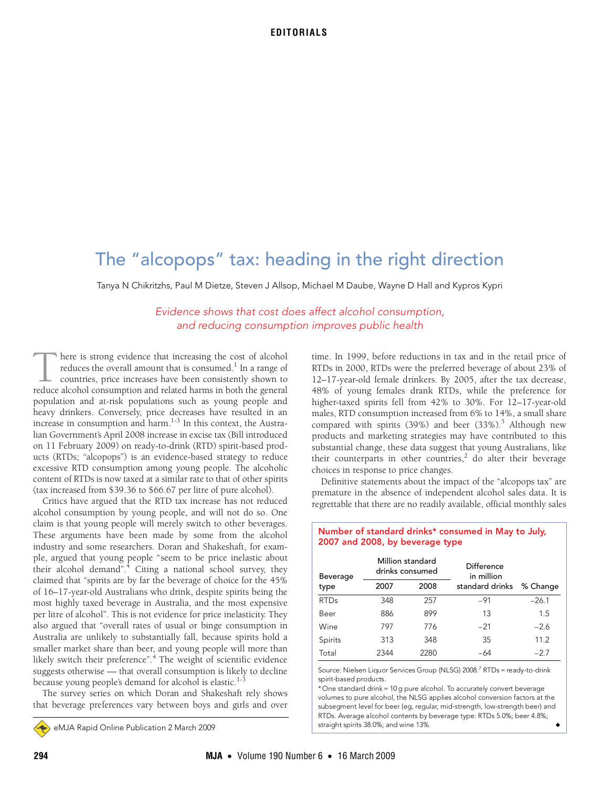# The "alcopops" tax: heading in the right direction

Tanya N Chikritzhs, Paul M Dietze, Steven J Allsop, Michael M Daube, Wayne D Hall and Kypros Kypri

Evidence shows that cost does affect alcohol consumption, and reducing consumption improves public health

here is strong evidence that increasing the cost of alcohol reduces the overall amount that is consumed. $^1$  In a range of countries, price increases have been consistently shown to There is strong evidence that increasing the cost of alcohol reduces the overall amount that is consumed.<sup>1</sup> In a range of countries, price increases have been consistently shown to reduce alcohol consumption and related h population and at-risk populations such as young people and heavy drinkers. Conversely, price decreases have resulted in an increase in consumption and harm. $1-3$  In this context, the Australian Government's April 2008 increase in excise tax (Bill introduced on 11 February 2009) on ready-to-drink (RTD) spirit-based products (RTDs; "alcopops") is an evidence-based strategy to reduce excessive RTD consumption among young people. The alcoholic content of RTDs is now taxed at a similar rate to that of other spirits (tax increased from \$39.36 to \$66.67 per litre of pure alcohol).

Critics have argued that the RTD tax increase has not reduced alcohol consumption by young people, and will not do so. One claim is that young people will merely switch to other beverages. These arguments have been made by some from the alcohol industry and some researchers. Doran and Shakeshaft, for example, argued that young people "seem to be price inelastic about their alcohol demand".<sup>4</sup> Citing a national school survey, they claimed that "spirits are by far the beverage of choice for the 45% of 16–17-year-old Australians who drink, despite spirits being the most highly taxed beverage in Australia, and the most expensive per litre of alcohol". This is not evidence for price inelasticity. They also argued that "overall rates of usual or binge consumption in Australia are unlikely to substantially fall, because spirits hold a smaller market share than beer, and young people will more than likely switch their preference".<sup>4</sup> The weight of scientific evidence suggests otherwise — that overall consumption is likely to decline because young people's demand for alcohol is elastic.<sup>1-3</sup>

The survey series on which Doran and Shakeshaft rely shows that beverage preferences vary between boys and girls and over

eMJA Rapid Online Publication 2 March 2009

time. In 1999, before reductions in tax and in the retail price of RTDs in 2000, RTDs were the preferred beverage of about 23% of 12–17-year-old female drinkers. By 2005, after the tax decrease, 48% of young females drank RTDs, while the preference for higher-taxed spirits fell from 42% to 30%. For 12–17-year-old males, RTD consumption increased from 6% to 14%, a small share compared with spirits (39%) and beer (33%).<sup>5</sup> Although new products and marketing strategies may have contributed to this substantial change, these data suggest that young Australians, like their counterparts in other countries,<sup>2</sup> do alter their beverage choices in response to price changes.

Definitive statements about the impact of the "alcopops tax" are premature in the absence of independent alcohol sales data. It is regrettable that there are no readily available, official monthly sales

Number of standard drinks\* consumed in May to July,

2007 and 2008, by beverage type

| Beverage    | Million standard<br>drinks consumed |      | <b>Difference</b><br>in million |          |
|-------------|-------------------------------------|------|---------------------------------|----------|
| type        | 2007                                | 2008 | standard drinks                 | % Change |
| <b>RTDs</b> | 348                                 | 257  | $-91$                           | $-26.1$  |
| Beer        | 886                                 | 899  | 13                              | 1.5      |
| Wine        | 797                                 | 776  | $-21$                           | $-2.6$   |
| Spirits     | 313                                 | 348  | 35                              | 11.2     |
| Total       | 2344                                | 2280 | -64                             | $-2.7$   |

Source: Nielsen Liquor Services Group (NLSG) 2008.<sup>7</sup> RTDs = ready-to-drink spirit-based products.

\* One standard drink = 10 g pure alcohol. To accurately convert beverage volumes to pure alcohol, the NLSG applies alcohol conversion factors at the subsegment level for beer (eg, regular, mid-strength, low-strength beer) and RTDs. Average alcohol contents by beverage type: RTDs 5.0%; beer 4.8%; straight spirits 38.0%; and wine 13%.